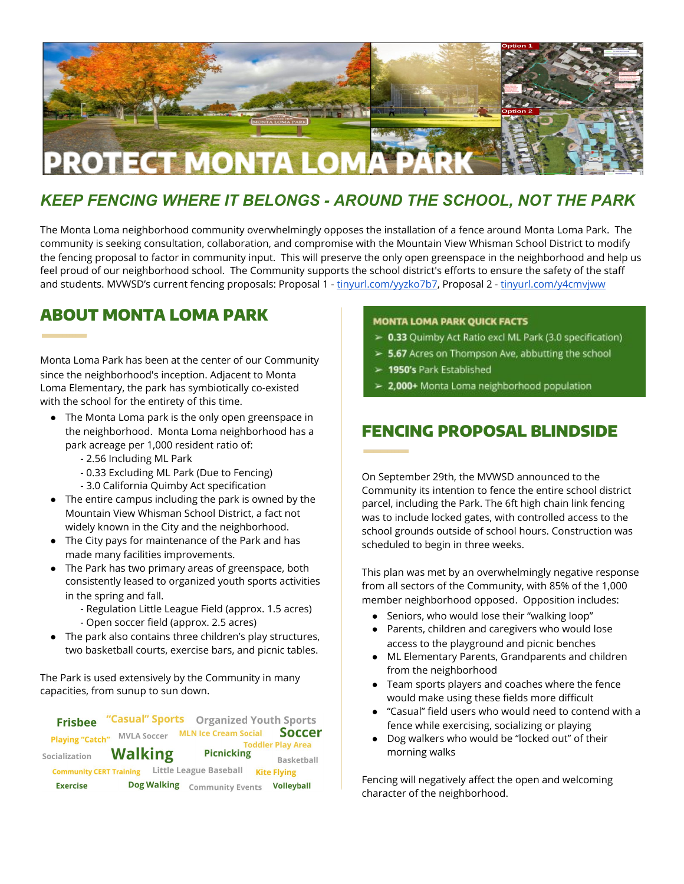

## *KEEP FENCING WHERE IT BELONGS - AROUND THE SCHOOL, NOT THE PARK*

The Monta Loma neighborhood community overwhelmingly opposes the installation of a fence around Monta Loma Park. The community is seeking consultation, collaboration, and compromise with the Mountain View Whisman School District to modify the fencing proposal to factor in community input. This will preserve the only open greenspace in the neighborhood and help us feel proud of our neighborhood school. The Community supports the school district's efforts to ensure the safety of the staff and students. MVWSD's current fencing proposals: Proposal 1 - [tinyurl.com/yyzko7b7,](http://tinyurl.com/yyzko7b7) Proposal 2 - [tinyurl.com/y4cmvjww](http://tinyurl.com/y4cmvjww)

#### ABOUT MONTA LOMA PARK

Monta Loma Park has been at the center of our Community since the neighborhood's inception. Adjacent to Monta Loma Elementary, the park has symbiotically co-existed with the school for the entirety of this time.

- The Monta Loma park is the only open greenspace in the neighborhood. Monta Loma neighborhood has a park acreage per 1,000 resident ratio of:
	- 2.56 Including ML Park
	- 0.33 Excluding ML Park (Due to Fencing)
	- 3.0 California Quimby Act specification
- The entire campus including the park is owned by the Mountain View Whisman School District, a fact not widely known in the City and the neighborhood.
- The City pays for maintenance of the Park and has made many facilities improvements.
- The Park has two primary areas of greenspace, both consistently leased to organized youth sports activities in the spring and fall.
	- Regulation Little League Field (approx. 1.5 acres)
	- Open soccer field (approx. 2.5 acres)
- The park also contains three children's play structures, two basketball courts, exercise bars, and picnic tables.

The Park is used extensively by the Community in many capacities, from sunup to sun down.

| <b>Frisbee</b>                 | "Casual" Sports    |                             | <b>Organized Youth Sports</b> |
|--------------------------------|--------------------|-----------------------------|-------------------------------|
| <b>Playing "Catch"</b>         | <b>MVLA Soccer</b> | <b>MLN Ice Cream Social</b> | <b>Soccer</b>                 |
|                                |                    |                             | <b>Toddler Play Area</b>      |
| Socialization                  | <b>Walking</b>     | <b>Picnicking</b>           | Basketball                    |
| <b>Community CERT Training</b> |                    | Little League Baseball      | <b>Kite Flying</b>            |
| <b>Exercise</b>                | <b>Dog Walking</b> | <b>Community Events</b>     | <b>Volleyball</b>             |

#### **MONTA LOMA PARK QUICK FACTS**

- > 0.33 Quimby Act Ratio excl ML Park (3.0 specification)
- > 5.67 Acres on Thompson Ave, abbutting the school
- > 1950's Park Established
- 2,000+ Monta Loma neighborhood population

# FENCING PROPOSAL BLINDSIDE

On September 29th, the MVWSD announced to the Community its intention to fence the entire school district parcel, including the Park. The 6ft high chain link fencing was to include locked gates, with controlled access to the school grounds outside of school hours. Construction was scheduled to begin in three weeks.

This plan was met by an overwhelmingly negative response from all sectors of the Community, with 85% of the 1,000 member neighborhood opposed. Opposition includes:

- Seniors, who would lose their "walking loop"
- Parents, children and caregivers who would lose access to the playground and picnic benches
- ML Elementary Parents, Grandparents and children from the neighborhood
- Team sports players and coaches where the fence would make using these fields more difficult
- "Casual" field users who would need to contend with a fence while exercising, socializing or playing
- Dog walkers who would be "locked out" of their morning walks

Fencing will negatively affect the open and welcoming character of the neighborhood.